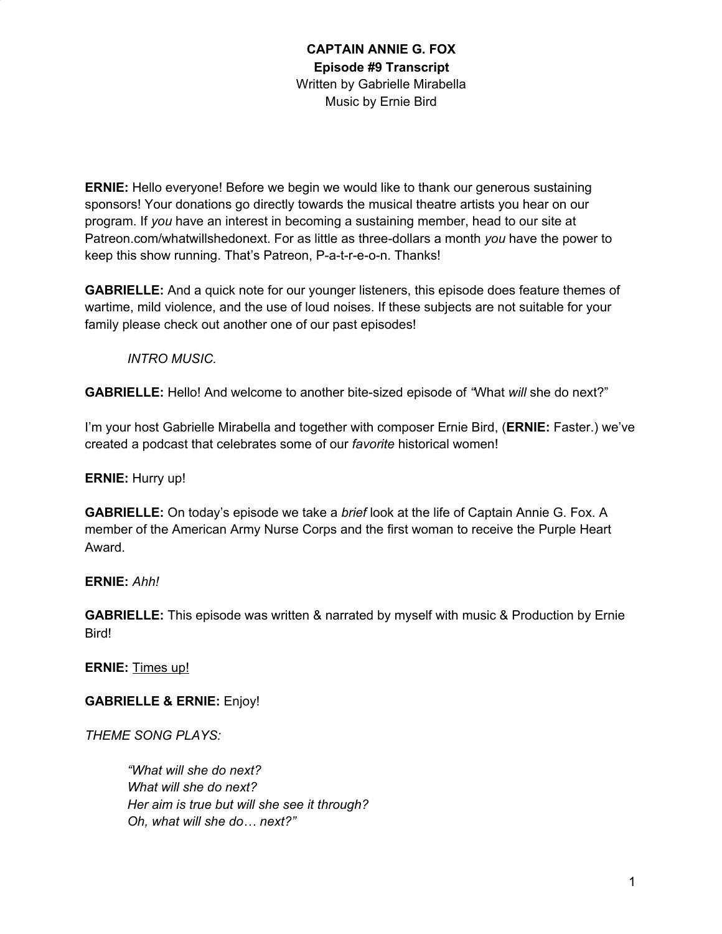**ERNIE:** Hello everyone! Before we begin we would like to thank our generous sustaining sponsors! Your donations go directly towards the musical theatre artists you hear on our program. If *you* have an interest in becoming a sustaining member, head to our site at Patreon.com/whatwillshedonext. For as little as three-dollars a month *you* have the power to keep this show running. That's Patreon, P-a-t-r-e-o-n. Thanks!

**GABRIELLE:** And a quick note for our younger listeners, this episode does feature themes of wartime, mild violence, and the use of loud noises. If these subjects are not suitable for your family please check out another one of our past episodes!

#### *INTRO MUSIC.*

**GABRIELLE:** Hello! And welcome to another bite-sized episode of *"*What *will* she do next?"

I'm your host Gabrielle Mirabella and together with composer Ernie Bird, (**ERNIE:** Faster.) we've created a podcast that celebrates some of our *favorite* historical women!

#### **ERNIE:** Hurry up!

**GABRIELLE:** On today's episode we take a *brief* look at the life of Captain Annie G. Fox. A member of the American Army Nurse Corps and the first woman to receive the Purple Heart Award.

# **ERNIE:** *Ahh!*

**GABRIELLE:** This episode was written & narrated by myself with music & Production by Ernie Bird!

**ERNIE:** Times up!

**GABRIELLE & ERNIE:** Enjoy!

*THEME SONG PLAYS:*

*"What will she do next? What will she do next? Her aim is true but will she see it through? Oh, what will she do… next?"*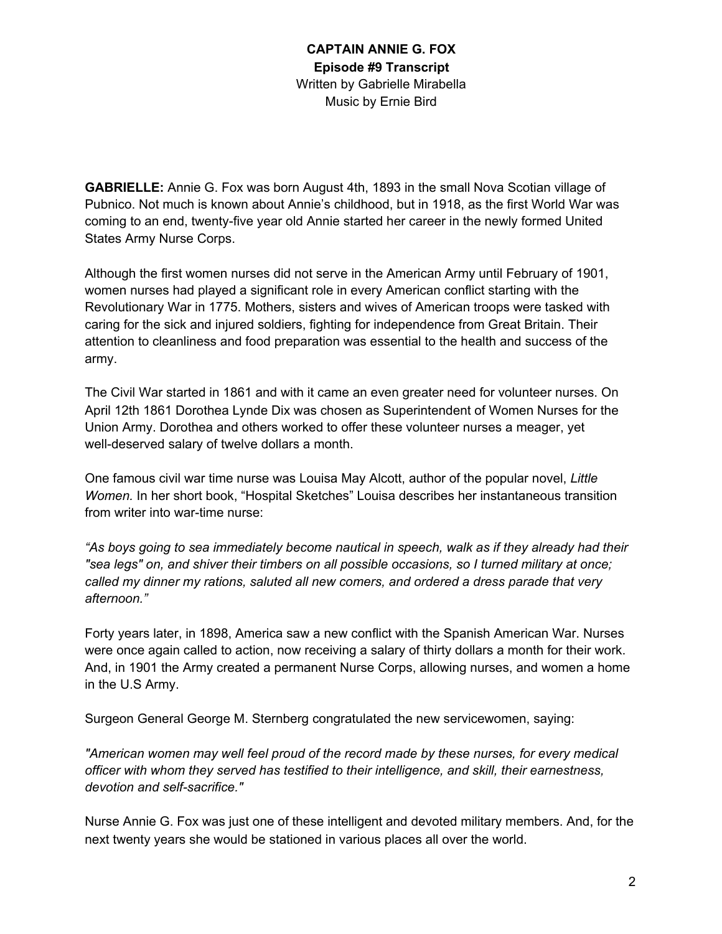**GABRIELLE:** Annie G. Fox was born August 4th, 1893 in the small Nova Scotian village of Pubnico. Not much is known about Annie's childhood, but in 1918, as the first World War was coming to an end, twenty-five year old Annie started her career in the newly formed United States Army Nurse Corps.

Although the first women nurses did not serve in the American Army until February of 1901, women nurses had played a significant role in every American conflict starting with the Revolutionary War in 1775. Mothers, sisters and wives of American troops were tasked with caring for the sick and injured soldiers, fighting for independence from Great Britain. Their attention to cleanliness and food preparation was essential to the health and success of the army.

The Civil War started in 1861 and with it came an even greater need for volunteer nurses. On April 12th 1861 Dorothea Lynde Dix was chosen as Superintendent of Women Nurses for the Union Army. Dorothea and others worked to offer these volunteer nurses a meager, yet well-deserved salary of twelve dollars a month.

One famous civil war time nurse was Louisa May Alcott, author of the popular novel, *Little Women.* In her short book, "Hospital Sketches" Louisa describes her instantaneous transition from writer into war-time nurse:

*"As boys going to sea immediately become nautical in speech, walk as if they already had their "sea legs" on, and shiver their timbers on all possible occasions, so I turned military at once; called my dinner my rations, saluted all new comers, and ordered a dress parade that very afternoon."*

Forty years later, in 1898, America saw a new conflict with the Spanish American War. Nurses were once again called to action, now receiving a salary of thirty dollars a month for their work. And, in 1901 the Army created a permanent Nurse Corps, allowing nurses, and women a home in the U.S Army.

Surgeon General George M. Sternberg congratulated the new servicewomen, saying:

*"American women may well feel proud of the record made by these nurses, for every medical officer with whom they served has testified to their intelligence, and skill, their earnestness, devotion and self-sacrifice."*

Nurse Annie G. Fox was just one of these intelligent and devoted military members. And, for the next twenty years she would be stationed in various places all over the world.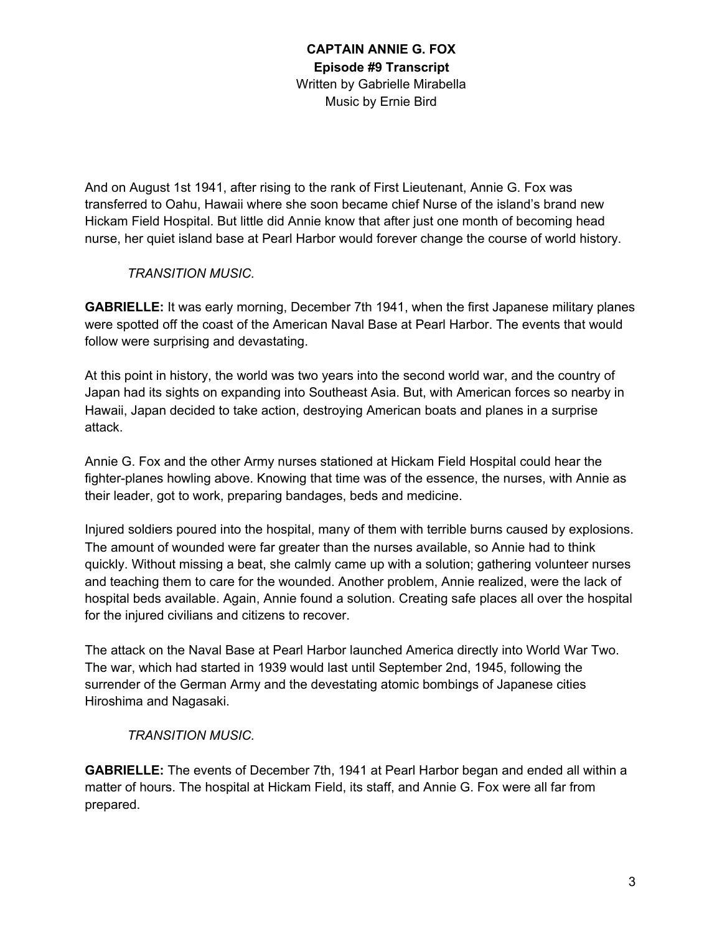And on August 1st 1941, after rising to the rank of First Lieutenant, Annie G. Fox was transferred to Oahu, Hawaii where she soon became chief Nurse of the island's brand new Hickam Field Hospital. But little did Annie know that after just one month of becoming head nurse, her quiet island base at Pearl Harbor would forever change the course of world history.

#### *TRANSITION MUSIC.*

**GABRIELLE:** It was early morning, December 7th 1941, when the first Japanese military planes were spotted off the coast of the American Naval Base at Pearl Harbor. The events that would follow were surprising and devastating.

At this point in history, the world was two years into the second world war, and the country of Japan had its sights on expanding into Southeast Asia. But, with American forces so nearby in Hawaii, Japan decided to take action, destroying American boats and planes in a surprise attack.

Annie G. Fox and the other Army nurses stationed at Hickam Field Hospital could hear the fighter-planes howling above. Knowing that time was of the essence, the nurses, with Annie as their leader, got to work, preparing bandages, beds and medicine.

Injured soldiers poured into the hospital, many of them with terrible burns caused by explosions. The amount of wounded were far greater than the nurses available, so Annie had to think quickly. Without missing a beat, she calmly came up with a solution; gathering volunteer nurses and teaching them to care for the wounded. Another problem, Annie realized, were the lack of hospital beds available. Again, Annie found a solution. Creating safe places all over the hospital for the injured civilians and citizens to recover.

The attack on the Naval Base at Pearl Harbor launched America directly into World War Two. The war, which had started in 1939 would last until September 2nd, 1945, following the surrender of the German Army and the devestating atomic bombings of Japanese cities Hiroshima and Nagasaki.

# *TRANSITION MUSIC.*

**GABRIELLE:** The events of December 7th, 1941 at Pearl Harbor began and ended all within a matter of hours. The hospital at Hickam Field, its staff, and Annie G. Fox were all far from prepared.